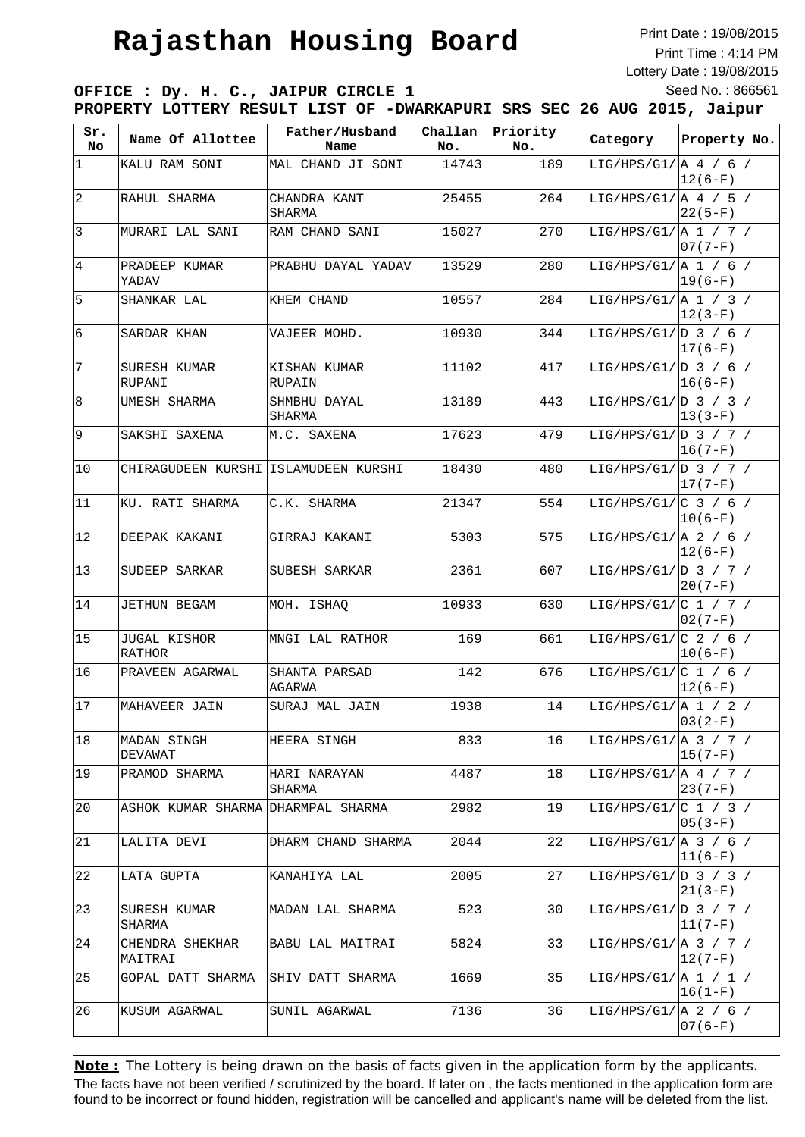Print Date : 19/08/2015 Print Time : 4:14 PM Lottery Date : 19/08/2015 Seed No. : 866561

**OFFICE : Dy. H. C., JAIPUR CIRCLE 1 PROPERTY LOTTERY RESULT LIST OF -DWARKAPURI SRS SEC 26 AUG 2015, Jaipur**

| Sr.<br>No | Name Of Allottee                     | Father/Husband          | Challan | Priority | Category                            | Property No. |
|-----------|--------------------------------------|-------------------------|---------|----------|-------------------------------------|--------------|
|           |                                      | Name                    | No.     | No.      |                                     |              |
| 1         | KALU RAM SONI                        | MAL CHAND JI SONI       | 14743   | 189      | LIG/HPS/G1/ $A$ 4 / 6 /             | $12(6-F)$    |
| 2         | RAHUL SHARMA                         | CHANDRA KANT<br>SHARMA  | 25455   | 264      | LIG/HPS/G1/ $\vert$ A 4 / 5 /       | $ 22(5-F) $  |
| 3         | MURARI LAL SANI                      | RAM CHAND SANI          | 15027   | 270      | LIG/HPS/G1/ A 1 / 7 /               | $ 07(7-F) $  |
| 4         | PRADEEP KUMAR<br>YADAV               | PRABHU DAYAL YADAV      | 13529   | 280      | LIG/HPS/G1/ $\vert$ A 1 / 6 /       | $19(6-F)$    |
| 5         | SHANKAR LAL                          | KHEM CHAND              | 10557   | 284      | LIG/HPS/G1/ $\vert$ A 1 / 3 /       | $ 12(3-F) $  |
| 6         | SARDAR KHAN                          | VAJEER MOHD.            | 10930   | 344      | LIG/HPS/G1/ D 3 / 6 /               | $ 17(6-F)$   |
| 7         | SURESH KUMAR<br>RUPANI               | KISHAN KUMAR<br>RUPAIN  | 11102   | 417      | LIG/HPS/G1/ $ D \t3$ / 6 /          | $ 16(6-F) $  |
| 8         | UMESH SHARMA                         | SHMBHU DAYAL<br>SHARMA  | 13189   | 443      | LIG/HPS/G1/ $D_3$ / 3 /             | $13(3-F)$    |
| 9         | SAKSHI SAXENA                        | M.C. SAXENA             | 17623   | 479      | LIG/HPS/G1/ $\vert D \vert$ 3 / 7 / | $16(7-F)$    |
| 10        | CHIRAGUDEEN KURSHI ISLAMUDEEN KURSHI |                         | 18430   | 480      | LIG/HPS/G1/ $D_3 / 7 /$             | $17(7-F)$    |
| 11        | KU. RATI SHARMA                      | C.K. SHARMA             | 21347   | 554      | LIG/HPS/G1/ $ C \t3$ / 6 /          | $10(6-F)$    |
| 12        | DEEPAK KAKANI                        | GIRRAJ KAKANI           | 5303    | 575      | LIG/HPS/G1/ $\vert$ A 2 / 6 /       | $ 12(6-F) $  |
| 13        | SUDEEP SARKAR                        | SUBESH SARKAR           | 2361    | 607      | LIG/HPS/G1/ $D_3 / 7 /$             | $20(7-F)$    |
| 14        | JETHUN BEGAM                         | MOH. ISHAQ              | 10933   | 630      | LIG/HPS/G1/ $C_1 / 7 /$             | $ 02(7-F) $  |
| 15        | JUGAL KISHOR<br>RATHOR               | MNGI LAL RATHOR         | 169     | 661      | LIG/HPS/G1/ $C$ 2 / 6 /             | $10(6-F)$    |
| 16        | PRAVEEN AGARWAL                      | SHANTA PARSAD<br>AGARWA | 142     | 676      | LIG/HPS/G1/ $ C 1 / 6 /$            | $12(6-F)$    |
| 17        | MAHAVEER JAIN                        | SURAJ MAL JAIN          | 1938    | 14       | LIG/HPS/G1/[A 1 / 2 /               | $03(2-F)$    |
| 18        | MADAN SINGH<br>DEVAWAT               | HEERA SINGH             | 833     | 16       | LIG/HPS/G1/ $A$ 3 / 7 /             | $ 15(7-F) $  |
| 19        | PRAMOD SHARMA                        | HARI NARAYAN<br>SHARMA  | 4487    | 18       | LIG/HPS/G1/ $\vert$ A 4 / 7 /       | $23(7-F)$    |
| 20        | ASHOK KUMAR SHARMA DHARMPAL SHARMA   |                         | 2982    | 19       | LIG/HPS/G1/ $ C 1 / 3 /$            | $05(3-F)$    |
| 21        | LALITA DEVI                          | DHARM CHAND SHARMA      | 2044    | 22       | LIG/HPS/G1/ $\vert$ A 3 / 6 /       | $ 11(6-F) $  |
| 22        | LATA GUPTA                           | KANAHIYA LAL            | 2005    | 27       | LIG/HPS/G1/ D 3 / 3 /               | $21(3-F)$    |
| 23        | SURESH KUMAR<br>SHARMA               | MADAN LAL SHARMA        | 523     | 30       | LIG/HPS/G1/ $\vert D \vert$ 3 / 7 / | $ 11(7-F) $  |
| 24        | CHENDRA SHEKHAR<br>MAITRAI           | BABU LAL MAITRAI        | 5824    | 33       | LIG/HPS/G1/[A 3 / 7 /               | $ 12(7-F) $  |
| 25        | GOPAL DATT SHARMA                    | SHIV DATT SHARMA        | 1669    | 35       | LIG/HPS/G1/ $\vert$ A 1 / 1 /       | $ 16(1-F) $  |
| 26        | KUSUM AGARWAL                        | SUNIL AGARWAL           | 7136    | 36       | LIG/HPS/G1/ $A$ 2 / 6 /             | $07(6-F)$    |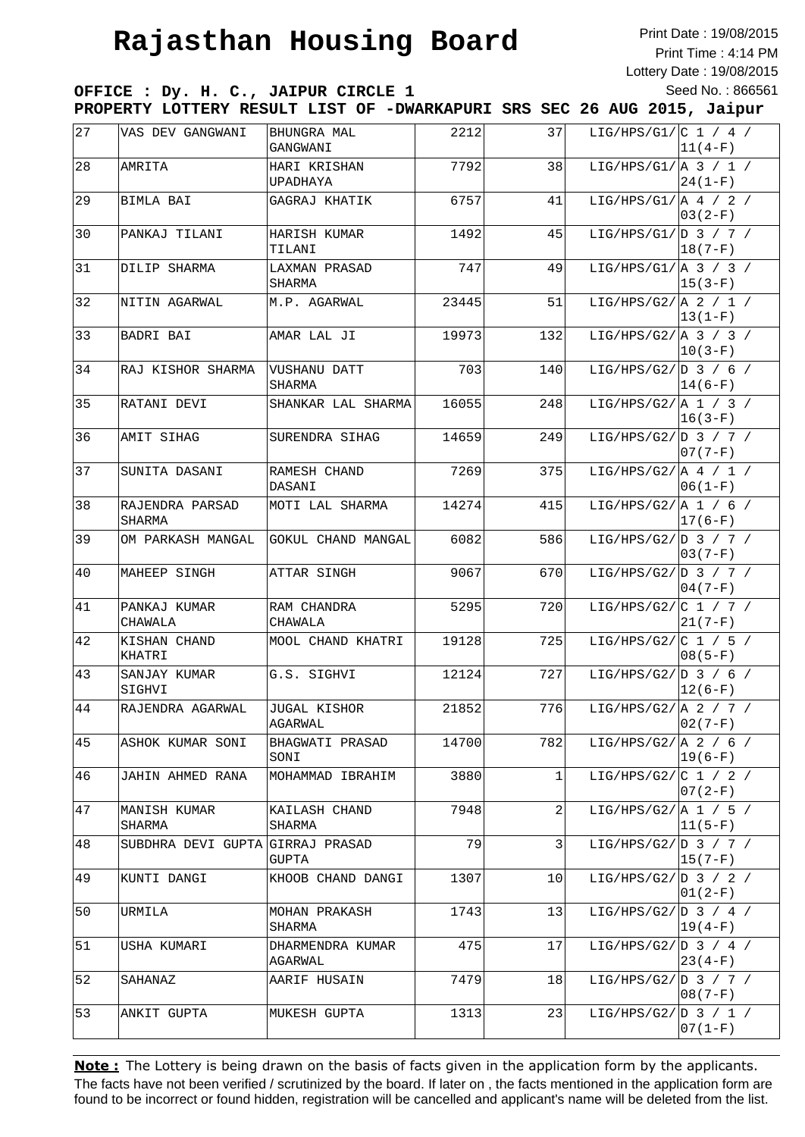Print Date : 19/08/2015 Print Time : 4:14 PM Lottery Date : 19/08/2015 Seed No. : 866561

**OFFICE : Dy. H. C., JAIPUR CIRCLE 1 PROPERTY LOTTERY RESULT LIST OF -DWARKAPURI SRS SEC 26 AUG 2015, Jaipur**

| 27 | VAS DEV GANGWANI          | BHUNGRA MAL<br>GANGWANI     | 2212  | 37  | LIG/HPS/G1/ $ C 1 / 4 /$      | $11(4-F)$ |
|----|---------------------------|-----------------------------|-------|-----|-------------------------------|-----------|
| 28 | AMRITA                    | HARI KRISHAN<br>UPADHAYA    | 7792  | 38  | LIG/HPS/G1/ $\vert$ A 3 / 1 / | $24(1-F)$ |
| 29 | BIMLA BAI                 | GAGRAJ KHATIK               | 6757  | 41  | LIG/HPS/G1/ $\vert$ A 4 / 2 / | $03(2-F)$ |
| 30 | PANKAJ TILANI             | HARISH KUMAR<br>TILANI      | 1492  | 45  | LIG/HPS/G1/ $ D \t3$ / 7 /    | $18(7-F)$ |
| 31 | DILIP SHARMA              | LAXMAN PRASAD<br>SHARMA     | 747   | 49  | LIG/HPS/G1/ $\vert$ A 3 / 3 / | $15(3-F)$ |
| 32 | NITIN AGARWAL             | M.P. AGARWAL                | 23445 | 51  | LIG/HPS/G2/ $A$ 2 / 1 /       | $13(1-F)$ |
| 33 | BADRI BAI                 | AMAR LAL JI                 | 19973 | 132 | LIG/HPS/G2/ $A$ 3 / 3 /       | $10(3-F)$ |
| 34 | RAJ KISHOR SHARMA         | VUSHANU DATT<br>SHARMA      | 703   | 140 | LIG/HPS/G2/ $D_3 / 6 /$       | $14(6-F)$ |
| 35 | RATANI DEVI               | SHANKAR LAL SHARMA          | 16055 | 248 | LIG/HPS/G2/  A $1 / 3 /$      | $16(3-F)$ |
| 36 | AMIT SIHAG                | SURENDRA SIHAG              | 14659 | 249 | LIG/HPS/G2/ $D_3 / 7 /$       | $07(7-F)$ |
| 37 | SUNITA DASANI             | RAMESH CHAND<br>DASANI      | 7269  | 375 | LIG/HPS/G2/ $A / 1 /$         | $06(1-F)$ |
| 38 | RAJENDRA PARSAD<br>SHARMA | MOTI LAL SHARMA             | 14274 | 415 | LIG/HPS/G2/ $A_1 / 6 /$       | $17(6-F)$ |
| 39 | OM PARKASH MANGAL         | GOKUL CHAND MANGAL          | 6082  | 586 | LIG/HPS/G2/ $D$ 3 / 7 /       | $03(7-F)$ |
| 40 | MAHEEP SINGH              | ATTAR SINGH                 | 9067  | 670 | LIG/HPS/G2/ $D_3 / 7 /$       | $04(7-F)$ |
| 41 | PANKAJ KUMAR<br>CHAWALA   | RAM CHANDRA<br>CHAWALA      | 5295  | 720 | LIG/HPS/G2/ $ C 1 / 7 /$      | $21(7-F)$ |
| 42 | KISHAN CHAND<br>KHATRI    | MOOL CHAND KHATRI           | 19128 | 725 | LIG/HPS/G2/ $ C 1 / 5 /$      | $08(5-F)$ |
| 43 | SANJAY KUMAR<br>SIGHVI    | G.S. SIGHVI                 | 12124 | 727 | LIG/HPS/G2/ $D_3 / 6 /$       | $12(6-F)$ |
| 44 | RAJENDRA AGARWAL          | JUGAL KISHOR<br>AGARWAL     | 21852 | 776 | LIG/HPS/G2/ $A$ 2 / 7 /       | $02(7-F)$ |
| 45 | ASHOK KUMAR SONI          | BHAGWATI PRASAD<br>SONI     | 14700 | 782 | LIG/HPS/G2/ $A$ 2 / 6 /       | $19(6-F)$ |
| 46 | JAHIN AHMED RANA          | MOHAMMAD IBRAHIM            | 3880  | 1   | LIG/HPS/G2/ $ C 1 / 2 /$      | $07(2-F)$ |
| 47 | MANISH KUMAR<br>SHARMA    | KAILASH CHAND<br>SHARMA     | 7948  | 2   | LIG/HPS/G2/ $A 1 / 5 /$       | $11(5-F)$ |
| 48 | SUBDHRA DEVI GUPTA        | GIRRAJ PRASAD<br>GUPTA      | 79    | 3   | LIG/HPS/G2/D 3 / 7 /          | $15(7-F)$ |
| 49 | KUNTI DANGI               | KHOOB CHAND DANGI           | 1307  | 10  | LIG/HPS/G2/ $D_3 / 2 /$       | $01(2-F)$ |
| 50 | URMILA                    | MOHAN PRAKASH<br>SHARMA     | 1743  | 13  | LIG/HPS/G2/ $ D \t3$ / 4 /    | $19(4-F)$ |
| 51 | USHA KUMARI               | DHARMENDRA KUMAR<br>AGARWAL | 475   | 17  | LIG/HPS/G2/ $D_3 / 4 /$       | $23(4-F)$ |
| 52 | SAHANAZ                   | AARIF HUSAIN                | 7479  | 18  | LIG/HPS/G2/ $D_3 / 7 /$       | $08(7-F)$ |
| 53 | ANKIT GUPTA               | MUKESH GUPTA                | 1313  | 23  | LIG/HPS/G2/ D 3 / 1 /         | $07(1-F)$ |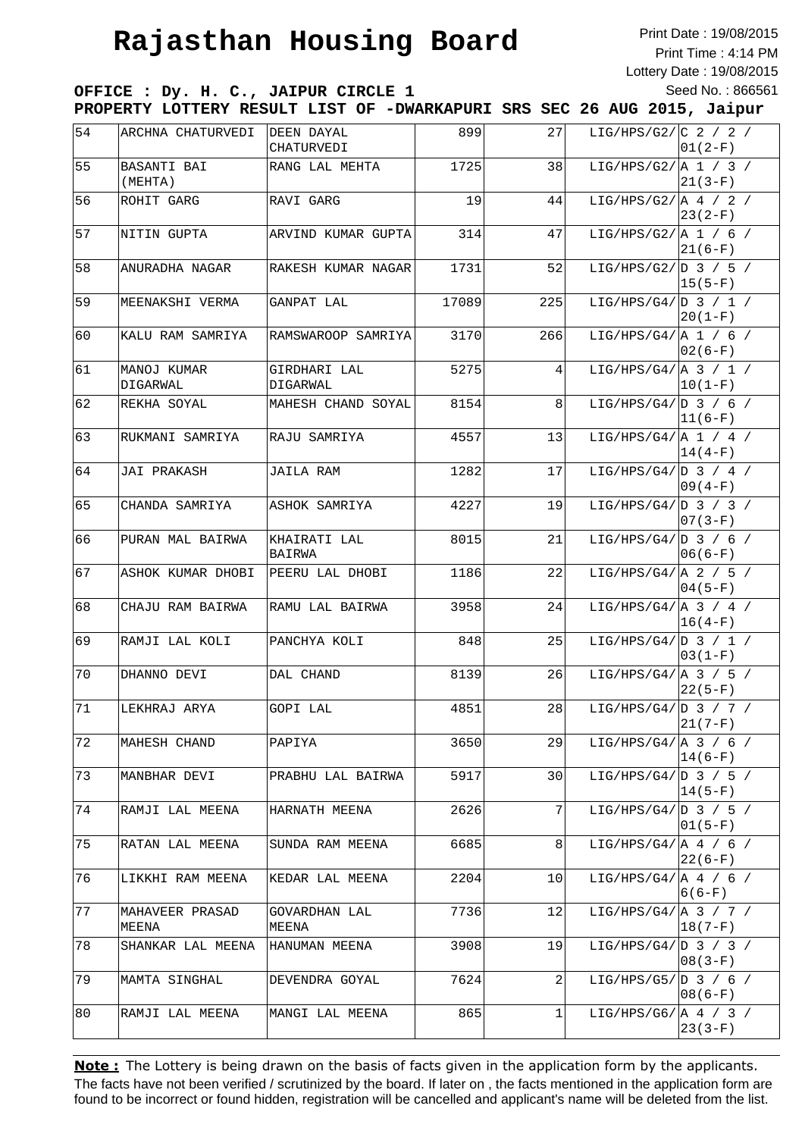Print Date : 19/08/2015 Print Time : 4:14 PM Lottery Date : 19/08/2015 Seed No. : 866561

**OFFICE : Dy. H. C., JAIPUR CIRCLE 1 PROPERTY LOTTERY RESULT LIST OF -DWARKAPURI SRS SEC 26 AUG 2015, Jaipur**

| 54  | ARCHNA CHATURVEDI        | DEEN DAYAL<br>CHATURVEDI | 899   | 27  | LIG/HPS/G2/ $C$ 2 / 2 /            | $01(2-F)$   |
|-----|--------------------------|--------------------------|-------|-----|------------------------------------|-------------|
| 55  | BASANTI BAI<br>(MEHTA)   | RANG LAL MEHTA           | 1725  | 38  | LIG/HPS/G2/ $A 1 / 3 /$            | $21(3-F)$   |
| 56  | ROHIT GARG               | RAVI GARG                | 19    | 44  | LIG/HPS/G2/ $A / 2 /$              | $ 23(2-F) $ |
| 57  | NITIN GUPTA              | ARVIND KUMAR GUPTA       | 314   | 47  | LIG/HPS/G2/ $\vert$ A 1 / 6 /      | $ 21(6-F)$  |
| 58  | ANURADHA NAGAR           | RAKESH KUMAR NAGAR       | 1731  | 52  | LIG/HPS/G2/ $D_3 / 5 /$            | $ 15(5-F) $ |
| 59  | MEENAKSHI VERMA          | GANPAT LAL               | 17089 | 225 | LIG/HPS/G4/ $ D \t3 / 1 /$         | $ 20(1-F) $ |
| 160 | KALU RAM SAMRIYA         | RAMSWAROOP SAMRIYA       | 3170  | 266 | LIG/HPS/G4/ $A 1 / 6 /$            | $ 02(6-F)$  |
| 161 | MANOJ KUMAR<br>DIGARWAL  | GIRDHARI LAL<br>DIGARWAL | 5275  | 4   | LIG/HPS/G4/   A 3 / 1 /            | $ 10(1-F) $ |
| 62  | REKHA SOYAL              | MAHESH CHAND SOYAL       | 8154  | 8   | LIG/HPS/G4/ $ D \t3$ / 6 /         | $ 11(6-F) $ |
| 63  | RUKMANI SAMRIYA          | RAJU SAMRIYA             | 4557  | 13  | LIG/HPS/G4/ $\vert$ A 1 / 4 /      | $ 14(4-F) $ |
| 64  | JAI PRAKASH              | <b>JAILA RAM</b>         | 1282  | 17  | LIG/HPS/G4/ $ D \t3$ / 4 /         | $ 09(4-F)$  |
| 65  | CHANDA SAMRIYA           | ASHOK SAMRIYA            | 4227  | 19  | LIG/HPS/G4/ $ D \;3 \; / \;3 \; /$ | $07(3-F)$   |
| 66  | PURAN MAL BAIRWA         | KHAIRATI LAL<br>BAIRWA   | 8015  | 21  | LIG/HPS/G4/ D 3 / 6 /              | $06(6-F)$   |
| 67  | ASHOK KUMAR DHOBI        | PEERU LAL DHOBI          | 1186  | 22  | LIG/HPS/G4/ $\vert$ A 2 / 5 /      | $ 04(5-F)$  |
| 68  | CHAJU RAM BAIRWA         | RAMU LAL BAIRWA          | 3958  | 24  | LIG/HPS/G4/ $A$ 3 / 4 /            | $ 16(4-F) $ |
| 69  | RAMJI LAL KOLI           | PANCHYA KOLI             | 848   | 25  | LIG/HPS/G4/ $D$ 3 / 1 /            | $ 03(1-F) $ |
| 70  | DHANNO DEVI              | DAL CHAND                | 8139  | 26  | LIG/HPS/G4/ $A$ 3 / 5 /            | $22(5-F)$   |
| 71  | LEKHRAJ ARYA             | GOPI LAL                 | 4851  | 28  | LIG/HPS/G4/ D 3 / 7 /              | $21(7-F)$   |
| 72  | MAHESH CHAND             | PAPIYA                   | 3650  | 29  | LIG/HPS/G4/ $\vert$ A 3 / 6 /      | $14(6-F)$   |
| 73  | MANBHAR DEVI             | PRABHU LAL BAIRWA        | 5917  | 30  | LIG/HPS/G4/ $D_3$ / 5 /            | $ 14(5-F) $ |
| 74  | RAMJI LAL MEENA          | HARNATH MEENA            | 2626  | 7   | LIG/HPS/G4/ $D$ 3 / 5 /            | $ 01(5-F) $ |
| 75  | RATAN LAL MEENA          | SUNDA RAM MEENA          | 6685  | 8   | LIG/HPS/G4/ $\vert$ A 4 / 6 /      | $22(6-F)$   |
| 76  | LIKKHI RAM MEENA         | KEDAR LAL MEENA          | 2204  | 10  | LIG/HPS/G4/ A 4 / 6 /              | $6(6-F)$    |
| 77  | MAHAVEER PRASAD<br>MEENA | GOVARDHAN LAL<br>MEENA   | 7736  | 12  | LIG/HPS/G4/ $A$ 3 / 7 /            | $18(7-F)$   |
| 78  | SHANKAR LAL MEENA        | HANUMAN MEENA            | 3908  | 19  | LIG/HPS/G4/ $D_3 / 3 /$            | $ 08(3-F)$  |
| 79  | MAMTA SINGHAL            | DEVENDRA GOYAL           | 7624  | 2   | LIG/HPS/G5/ $D_3 / 6 /$            | $08(6-F)$   |
| 180 | RAMJI LAL MEENA          | MANGI LAL MEENA          | 865   | 1   | LIG/HPS/G6/ $A / 3 /$              | $23(3-F)$   |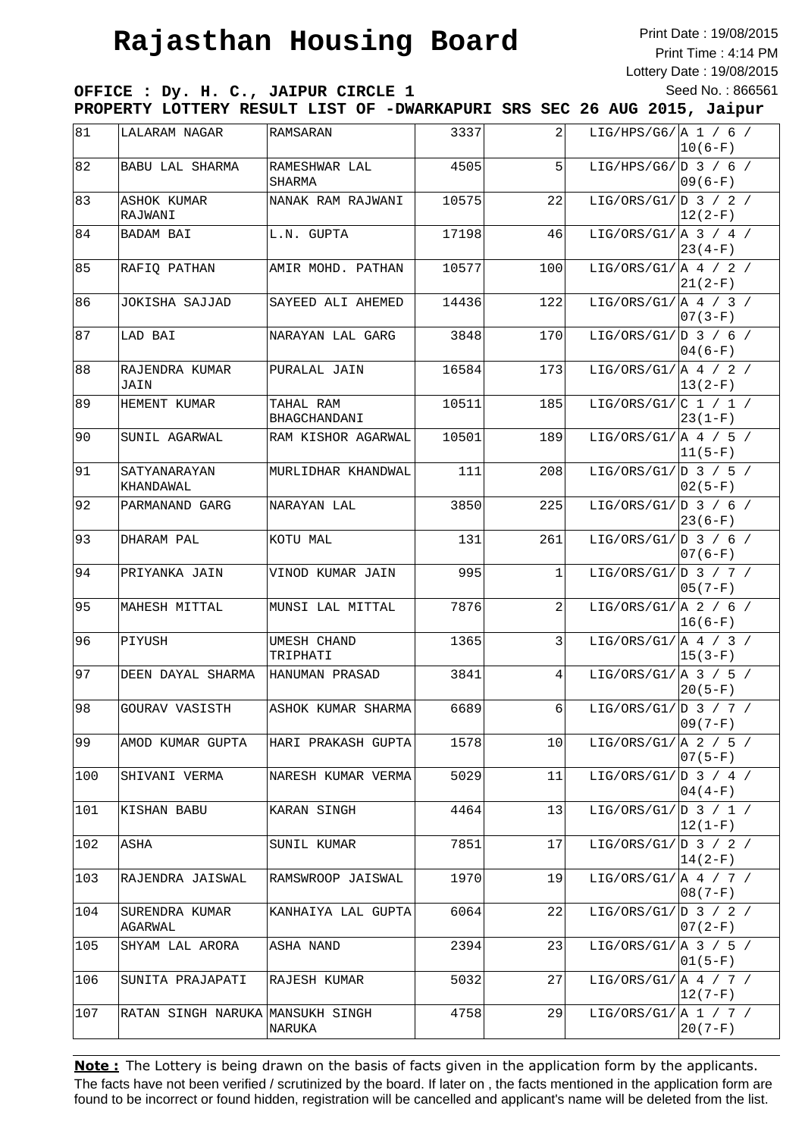Print Date : 19/08/2015 Print Time : 4:14 PM Lottery Date : 19/08/2015 Seed No. : 866561

**OFFICE : Dy. H. C., JAIPUR CIRCLE 1 PROPERTY LOTTERY RESULT LIST OF -DWARKAPURI SRS SEC 26 AUG 2015, Jaipur**

| 81  | LALARAM NAGAR                    | RAMSARAN                  | 3337  | 2   | LIG/HPS/G6/ $\vert$ A 1 / 6 /<br>$ 10(6-F) $      |
|-----|----------------------------------|---------------------------|-------|-----|---------------------------------------------------|
| 82  | BABU LAL SHARMA                  | RAMESHWAR LAL<br>SHARMA   | 4505  | 5   | LIG/HPS/G6/ $D_3$ / 6 /<br>$09(6-F)$              |
| 83  | <b>ASHOK KUMAR</b><br>RAJWANI    | NANAK RAM RAJWANI         | 10575 | 22  | LIG/ORS/G1/ D 3 / 2 /<br>$ 12(2-F) $              |
| 84  | BADAM BAI                        | L.N. GUPTA                | 17198 | 46  | LIG/ORS/G1/ $ A \t3$ / 4 /<br>$ 23(4-F)$          |
| 85  | RAFIO PATHAN                     | AMIR MOHD. PATHAN         | 10577 | 100 | LIG/ORS/G1/ $\vert$ A 4 / 2 /<br>$21(2-F)$        |
| 86  | JOKISHA SAJJAD                   | SAYEED ALI AHEMED         | 14436 | 122 | LIG/ORS/G1/ $A / 3 /$<br>$07(3-F)$                |
| 87  | LAD BAI                          | NARAYAN LAL GARG          | 3848  | 170 | LIG/ORS/G1/ $ D 3 / 6 /$<br>$04(6-F)$             |
| 88  | RAJENDRA KUMAR<br>JAIN           | PURALAL JAIN              | 16584 | 173 | LIG/ORS/G1/ $ A 4 / 2 /$<br>$13(2-F)$             |
| 89  | HEMENT KUMAR                     | TAHAL RAM<br>BHAGCHANDANI | 10511 | 185 | LIG/ORS/G1/ $ C 1 / 1 /$<br>$ 23(1-F) $           |
| 90  | SUNIL AGARWAL                    | RAM KISHOR AGARWAL        | 10501 | 189 | LIG/ORS/G1/ $ A 4 / 5 /$<br>$ 11(5-F) $           |
| 91  | SATYANARAYAN<br>KHANDAWAL        | MURLIDHAR KHANDWAL        | 111   | 208 | LIG/ORS/G1/ $D_3$ / 5 /<br>$02(5-F)$              |
| 92  | PARMANAND GARG                   | NARAYAN LAL               | 3850  | 225 | LIG/ORS/G1/ D 3 / 6 /<br>$23(6-F)$                |
| 93  | DHARAM PAL                       | KOTU MAL                  | 131   | 261 | LIG/ORS/G1/ $D_3 / 6 /$<br>$07(6-F)$              |
| 94  | PRIYANKA JAIN                    | VINOD KUMAR JAIN          | 995   | 1   | LIG/ORS/G1/ $D_3 / 7 /$<br>$05(7-F)$              |
| 95  | MAHESH MITTAL                    | MUNSI LAL MITTAL          | 7876  | 2   | LIG/ORS/G1/ $A$ 2 / 6 /<br>$ 16(6-F) $            |
| 96  | PIYUSH                           | UMESH CHAND<br>TRIPHATI   | 1365  | 3   | LIG/ORS/G1/ $\vert$ A 4 / 3 /<br>$ 15(3-F) $      |
| 97  | DEEN DAYAL SHARMA                | HANUMAN PRASAD            | 3841  | 4   | LIG/ORS/G1/ $ A \; 3 \; / \; 5 \; /$<br>$20(5-F)$ |
| 98  | GOURAV VASISTH                   | ASHOK KUMAR SHARMA        | 6689  | 6   | LIG/ORS/G1/ $D_3 / 7 /$<br>$09(7-F)$              |
| 99  | AMOD KUMAR GUPTA                 | HARI PRAKASH GUPTA        | 1578  | 10  | LIG/ORS/G1/ $ A 2 / 5 /$<br>$07(5-F)$             |
| 100 | SHIVANI VERMA                    | NARESH KUMAR VERMA        | 5029  | 11  | LIG/ORS/G1/ $\vert D \vert$ 3 / 4 /<br>$04(4-F)$  |
| 101 | KISHAN BABU                      | KARAN SINGH               | 4464  | 13  | LIG/ORS/G1/ $D_3 / 1 /$<br>$ 12(1-F) $            |
| 102 | ASHA                             | SUNIL KUMAR               | 7851  | 17  | LIG/ORS/G1/ D 3 / 2 /<br>$14(2-F)$                |
| 103 | RAJENDRA JAISWAL                 | RAMSWROOP JAISWAL         | 1970  | 19  | LIG/ORS/G1/ A 4 / 7 /<br>$08(7-F)$                |
| 104 | SURENDRA KUMAR<br>AGARWAL        | KANHAIYA LAL GUPTA        | 6064  | 22  | LIG/ORS/G1/ $ D \ 3 \ / 2 \ /$<br>$07(2-F)$       |
| 105 | SHYAM LAL ARORA                  | ASHA NAND                 | 2394  | 23  | LIG/ORS/G1/ $ A \; 3 \; / \; 5 \; /$<br>$01(5-F)$ |
| 106 | SUNITA PRAJAPATI                 | RAJESH KUMAR              | 5032  | 27  | LIG/ORS/G1/ $A$ 4 / 7 /<br>$ 12(7-F) $            |
| 107 | RATAN SINGH NARUKA MANSUKH SINGH | <b>NARUKA</b>             | 4758  | 29  | LIG/ORS/G1/[A 1 / 7 /<br>$20(7-F)$                |
|     |                                  |                           |       |     |                                                   |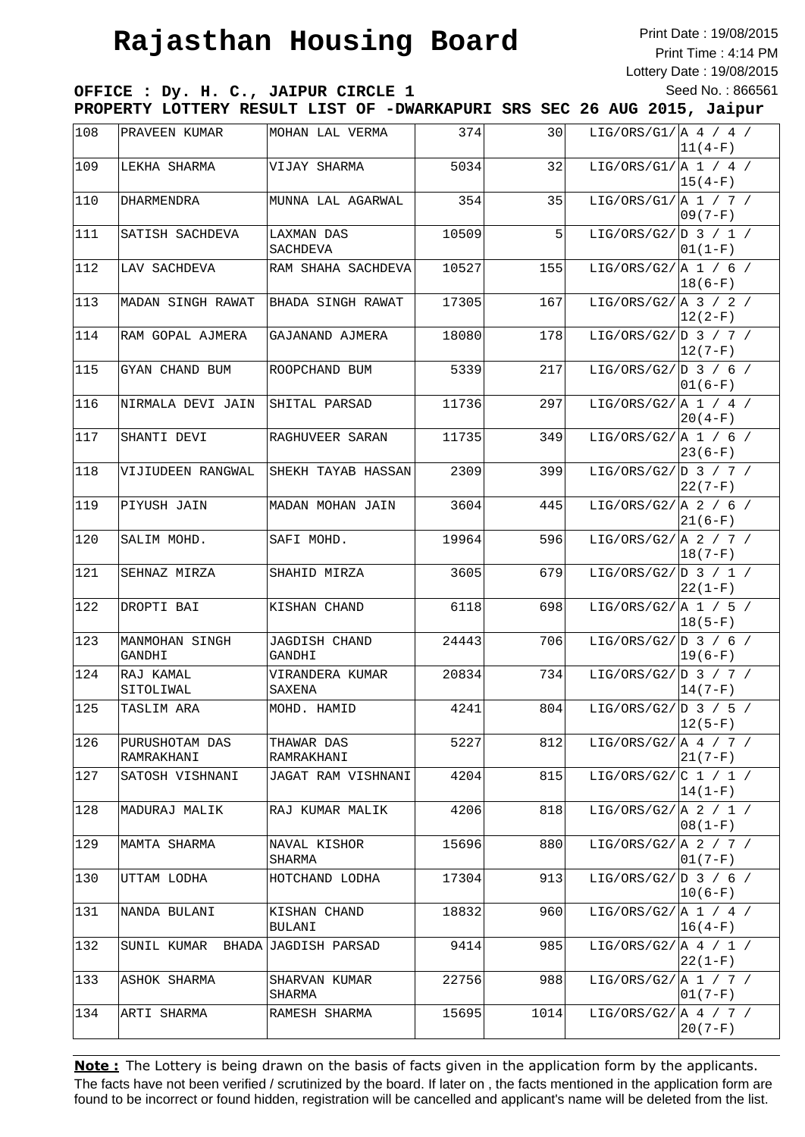Print Date : 19/08/2015 Print Time : 4:14 PM Lottery Date : 19/08/2015 Seed No. : 866561

**OFFICE : Dy. H. C., JAIPUR CIRCLE 1 PROPERTY LOTTERY RESULT LIST OF -DWARKAPURI SRS SEC 26 AUG 2015, Jaipur**

| 108   | PRAVEEN KUMAR                    | MOHAN LAL VERMA           | 374   | 30   | LIG/ORS/G1/ $\vert$ A 4 / 4 /<br>$ 11(4-F) $ |
|-------|----------------------------------|---------------------------|-------|------|----------------------------------------------|
| 109   | LEKHA SHARMA                     | VIJAY SHARMA              | 5034  | 32   | LIG/ORS/G1/ $\vert$ A 1 / 4 /<br>$ 15(4-F) $ |
| 110   | DHARMENDRA                       | MUNNA LAL AGARWAL         | 354   | 35   | LIG/ORS/G1/ $\vert$ A 1 / 7 /<br>$09(7-F)$   |
| 111   | SATISH SACHDEVA                  | LAXMAN DAS<br>SACHDEVA    | 10509 | 5    | LIG/ORS/G2/ $D_3 / 1 /$<br>$01(1-F)$         |
| 112   | LAV SACHDEVA                     | RAM SHAHA SACHDEVA        | 10527 | 155  | LIG/ORS/G2/ $A 1 / 6 /$<br>$ 18(6-F)$        |
| 113   | MADAN SINGH RAWAT                | BHADA SINGH RAWAT         | 17305 | 167  | LIG/ORS/G2/ $A$ 3 / 2 /<br>$12(2-F)$         |
| 114   | RAM GOPAL AJMERA                 | GAJANAND AJMERA           | 18080 | 178  | LIG/ORS/G2/ $D_3 / 7 /$<br>$ 12(7-F) $       |
| 115   | GYAN CHAND BUM                   | ROOPCHAND BUM             | 5339  | 217  | LIG/ORS/G2/ $D_3 / 6 /$<br>$01(6-F)$         |
| 116   | NIRMALA DEVI JAIN                | SHITAL PARSAD             | 11736 | 297  | LIG/ORS/G2/ $A 1 / 4 /$<br>$20(4-F)$         |
| 117   | SHANTI DEVI                      | RAGHUVEER SARAN           | 11735 | 349  | LIG/ORS/G2/ $A 1 / 6 /$<br>$ 23(6-F)$        |
| 118   | VIJIUDEEN RANGWAL                | SHEKH TAYAB HASSAN        | 2309  | 399  | LIG/ORS/G2/ $D_3 / 7 /$<br>22(7-F)           |
| 119   | PIYUSH JAIN                      | MADAN MOHAN JAIN          | 3604  | 445  | LIG/ORS/G2/ $A$ 2 / 6 /<br>$ 21(6-F) $       |
| 120   | SALIM MOHD.                      | SAFI MOHD.                | 19964 | 596  | LIG/ORS/G2/ $A$ 2 / 7 /<br>$ 18(7-F)$        |
| 121   | SEHNAZ MIRZA                     | SHAHID MIRZA              | 3605  | 679  | LIG/ORS/G2/ $D_3 / 1 /$<br>$22(1-F)$         |
| 122   | DROPTI BAI                       | KISHAN CHAND              | 6118  | 698  | LIG/ORS/G2/ $A 1 / 5 /$<br>$ 18(5-F)$        |
| 123   | MANMOHAN SINGH<br>GANDHI         | JAGDISH CHAND<br>GANDHI   | 24443 | 706  | LIG/ORS/G2/ $D_3 / 6 /$<br>$ 19(6-F)$        |
| 124   | RAJ KAMAL<br>SITOLIWAL           | VIRANDERA KUMAR<br>SAXENA | 20834 | 734  | LIG/ORS/G2/ $D_3 / 7 /$<br>$14(7-F)$         |
| 125   | TASLIM ARA                       | MOHD. HAMID               | 4241  | 804  | LIG/ORS/G2/ D 3 / 5 /<br>$12(5-F)$           |
| 126   | PURUSHOTAM DAS<br>RAMRAKHANI     | THAWAR DAS<br>RAMRAKHANI  | 5227  | 812  | LIG/ORS/G2/ $ A 4 / 7 /$<br>$ 21(7-F) $      |
| $127$ | SATOSH VISHNANI                  | JAGAT RAM VISHNANI        | 4204  | 815  | LIG/ORS/G2/ $ C 1 / 1 /$<br>$ 14(1-F) $      |
| 128   | MADURAJ MALIK                    | RAJ KUMAR MALIK           | 4206  | 818  | LIG/ORS/G2/ $A$ 2 / 1 /<br>$ 08(1-F) $       |
| 129   | MAMTA SHARMA                     | NAVAL KISHOR<br>SHARMA    | 15696 | 880  | LIG/ORS/G2/[A 2 / 7 /<br>$ 01(7-F) $         |
| 130   | UTTAM LODHA                      | HOTCHAND LODHA            | 17304 | 913  | LIG/ORS/G2/[D 3 / 6 /<br>$ 10(6-F) $         |
| 131   | NANDA BULANI                     | KISHAN CHAND<br>BULANI    | 18832 | 960  | LIG/ORS/G2/ $A_1 / 4 /$<br>$ 16(4-F) $       |
| 132   | SUNIL KUMAR BHADA JAGDISH PARSAD |                           | 9414  | 985  | LIG/ORS/G2/ A 4 / 1 /<br>$22(1-F)$           |
| 133   | ASHOK SHARMA                     | SHARVAN KUMAR<br>SHARMA   | 22756 | 988  | LIG/ORS/G2/ $A 1 / 7 /$<br>$01(7-F)$         |
| 134   | ARTI SHARMA                      | RAMESH SHARMA             | 15695 | 1014 | LIG/ORS/G2/ $A / 7 /$<br>$20(7-F)$           |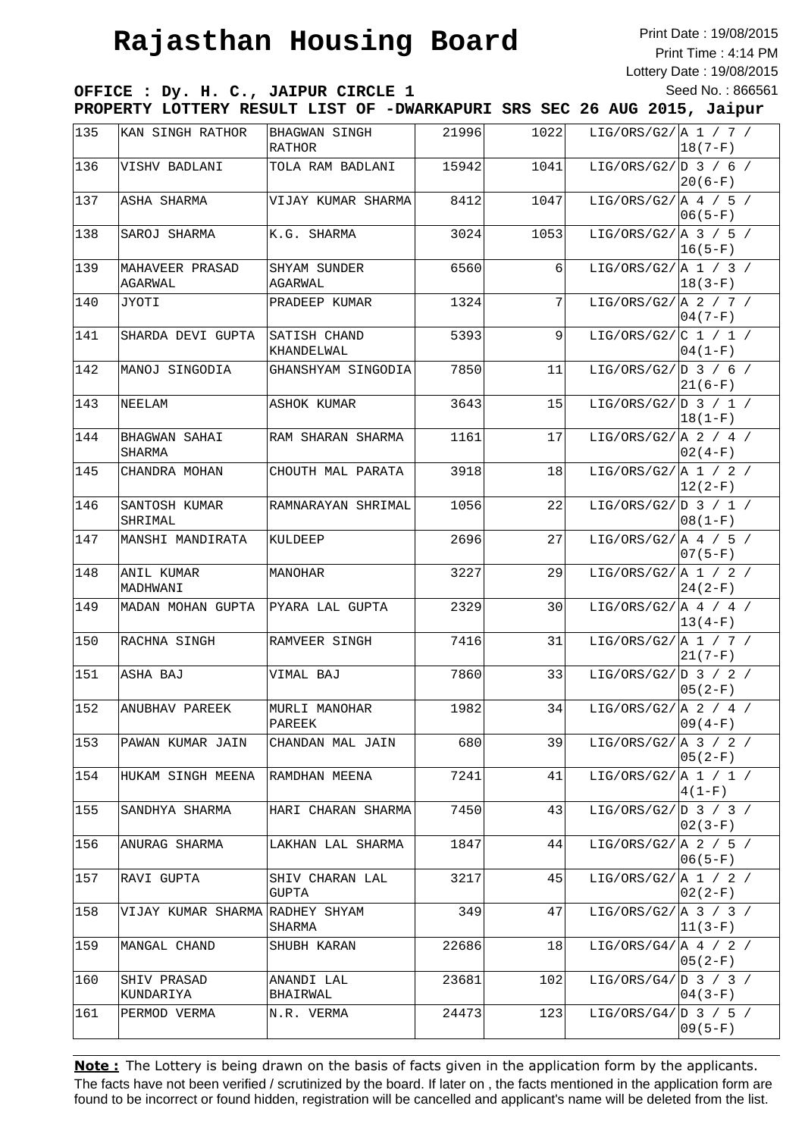Print Date : 19/08/2015 Print Time : 4:14 PM Lottery Date : 19/08/2015 Seed No. : 866561

**OFFICE : Dy. H. C., JAIPUR CIRCLE 1 PROPERTY LOTTERY RESULT LIST OF -DWARKAPURI SRS SEC 26 AUG 2015, Jaipur**

| 135          | KAN SINGH RATHOR           | BHAGWAN SINGH              | 21996 | 1022           | LIG/ORS/G2/ $A 1 / 7 /$       |                          |
|--------------|----------------------------|----------------------------|-------|----------------|-------------------------------|--------------------------|
| 136          | VISHV BADLANI              | RATHOR<br>TOLA RAM BADLANI | 15942 | 1041           | LIG/ORS/G2/ $D_3 / 6 /$       | 18(7-F)                  |
| $137$        | ASHA SHARMA                | VIJAY KUMAR SHARMA         | 8412  | 1047           | LIG/ORS/G2/ $A / 5 /$         | $20(6-F)$                |
| 138          | SAROJ SHARMA               | K.G. SHARMA                | 3024  | 1053           | LIG/ORS/G2/ $A$ 3 / 5 /       | $ 06(5-F) $              |
| 139          | MAHAVEER PRASAD<br>AGARWAL | SHYAM SUNDER<br>AGARWAL    | 6560  | $6 \mid$       | LIG/ORS/G2/ $\vert$ A 1 / 3 / | $ 16(5-F) $<br>$18(3-F)$ |
| 140          | JYOTI                      | PRADEEP KUMAR              | 1324  | 7              | LIG/ORS/G2/ $A$ 2 / 7 /       | $04(7-F)$                |
| 141          | SHARDA DEVI GUPTA          | SATISH CHAND<br>KHANDELWAL | 5393  | $\overline{9}$ | LIG/ORS/G2/ $ C 1 / 1 /$      | $04(1-F)$                |
| 142          | MANOJ SINGODIA             | GHANSHYAM SINGODIA         | 7850  | 11             | LIG/ORS/G2/ $D_3 / 6 /$       | $21(6-F)$                |
| $143$        | NEELAM                     | ASHOK KUMAR                | 3643  | 15             | LIG/ORS/G2/ $D_3 / 1 /$       | $ 18(1-F) $              |
| $144$        | BHAGWAN SAHAI<br>SHARMA    | RAM SHARAN SHARMA          | 1161  | 17             | LIG/ORS/G2/ $\vert$ A 2 / 4 / | $02(4-F)$                |
| 145          | CHANDRA MOHAN              | CHOUTH MAL PARATA          | 3918  | 18             | LIG/ORS/G2/ $A$ 1 / 2 /       | $12(2-F)$                |
| $\sqrt{146}$ | SANTOSH KUMAR<br>SHRIMAL   | RAMNARAYAN SHRIMAL         | 1056  | 22             | LIG/ORS/G2/ $D_3 / 1 /$       | $08(1-F)$                |
| 147          | MANSHI MANDIRATA           | KULDEEP                    | 2696  | 27             | LIG/ORS/G2/ $A \neq / 5$ /    | $07(5-F)$                |
| 148          | ANIL KUMAR<br>MADHWANI     | MANOHAR                    | 3227  | 29             | LIG/ORS/G2/ $A$ 1 / 2 /       | $24(2-F)$                |
| 149          | MADAN MOHAN GUPTA          | PYARA LAL GUPTA            | 2329  | 30             | LIG/ORS/G2/ $\vert$ A 4 / 4 / | $ 13(4-F) $              |
| 150          | RACHNA SINGH               | RAMVEER SINGH              | 7416  | 31             | LIG/ORS/G2/ $A 1 / 7 /$       | $21(7-F)$                |
| 151          | ASHA BAJ                   | VIMAL BAJ                  | 7860  | 33             | LIG/ORS/G2/ $D_3 / 2 /$       | $05(2-F)$                |
| 152          | ANUBHAV PAREEK             | MURLI MANOHAR<br>PAREEK    | 1982  | 34             | LIG/ORS/G2/ $A$ 2 / 4 /       | $09(4-F)$                |
| 153          | PAWAN KUMAR JAIN           | CHANDAN MAL JAIN           | 680   | 39             | LIG/ORS/G2/ $A$ 3 / 2 /       | $05(2-F)$                |
| 154          | HUKAM SINGH MEENA          | RAMDHAN MEENA              | 7241  | 41             | LIG/ORS/G2/ $\vert$ A 1 / 1 / | $4(1-F)$                 |
| 155          | SANDHYA SHARMA             | HARI CHARAN SHARMA         | 7450  | 43             | LIG/ORS/G2/ $D_3$ / 3 /       | $02(3-F)$                |
| 156          | ANURAG SHARMA              | LAKHAN LAL SHARMA          | 1847  | 44             | LIG/ORS/G2/ $A$ 2 / 5 /       | $06(5-F)$                |
| 157          | RAVI GUPTA                 | SHIV CHARAN LAL<br>GUPTA   | 3217  | 45             | LIG/ORS/G2/ $ A 1 / 2 /$      | $02(2-F)$                |
| 158          | VIJAY KUMAR SHARMA         | RADHEY SHYAM<br>SHARMA     | 349   | 47             | LIG/ORS/G2/ $A$ 3 / 3 /       | $11(3-F)$                |
| 159          | MANGAL CHAND               | SHUBH KARAN                | 22686 | 18             | LIG/ORS/G4/ $A / 2 /$         | $05(2-F)$                |
| 160          | SHIV PRASAD<br>KUNDARIYA   | ANANDI LAL<br>BHAIRWAL     | 23681 | 102            | LIG/ORS/G4/ $D_3 / 3 /$       | $04(3-F)$                |
| 161          | PERMOD VERMA               | N.R. VERMA                 | 24473 | 123            | LIG/ORS/G4/ $D_3 / 5 /$       | $09(5-F)$                |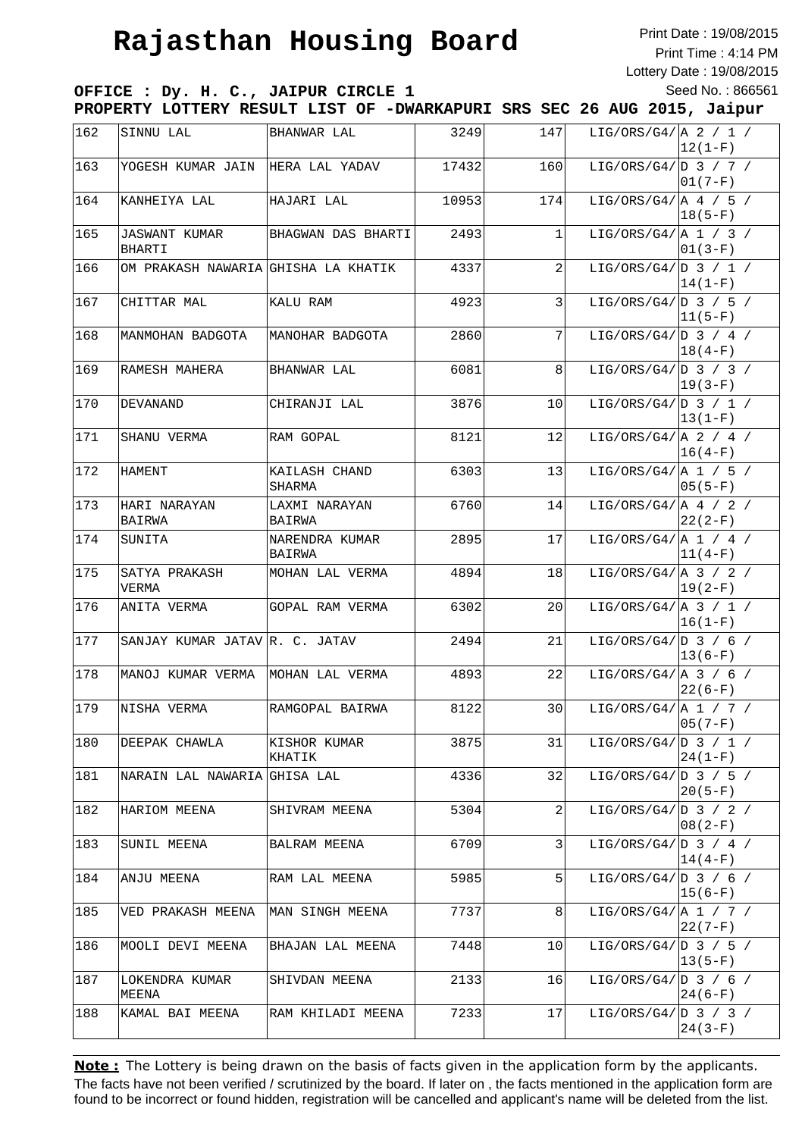Print Date : 19/08/2015 Print Time : 4:14 PM Lottery Date : 19/08/2015 Seed No. : 866561

**OFFICE : Dy. H. C., JAIPUR CIRCLE 1 PROPERTY LOTTERY RESULT LIST OF -DWARKAPURI SRS SEC 26 AUG 2015, Jaipur**

| 162 | SINNU LAL                             | BHANWAR LAL              | 3249  | 147             | LIG/ORS/G4/ $A$ 2 / 1 /        | $ 12(1-F) $ |
|-----|---------------------------------------|--------------------------|-------|-----------------|--------------------------------|-------------|
| 163 | YOGESH KUMAR JAIN                     | HERA LAL YADAV           | 17432 | 160             | LIG/ORS/G4/ D 3 / 7 /          | $ 01(7-F) $ |
| 164 | KANHEIYA LAL                          | HAJARI LAL               | 10953 | 174             | LIG/ORS/G4/ $A / 5 /$          | $ 18(5-F) $ |
| 165 | <b>JASWANT KUMAR</b><br><b>BHARTI</b> | BHAGWAN DAS BHARTI       | 2493  | $\mathbf{1}$    | LIG/ORS/G4/ A 1 / 3 /          | $ 01(3-F) $ |
| 166 | OM PRAKASH NAWARIA GHISHA LA KHATIK   |                          | 4337  | $\overline{2}$  | LIG/ORS/G4/ D 3 / 1 /          | $14(1-F)$   |
| 167 | CHITTAR MAL                           | KALU RAM                 | 4923  | $\overline{3}$  | LIG/ORS/G4/ $D_3 / 5 /$        | $ 11(5-F) $ |
| 168 | MANMOHAN BADGOTA                      | MANOHAR BADGOTA          | 2860  | 7               | LIG/ORS/G4/ $D_3 / 4 /$        | $ 18(4-F)$  |
| 169 | RAMESH MAHERA                         | BHANWAR LAL              | 6081  | 8               | LIG/ORS/G4/ $D_3$ / 3 /        | $19(3-F)$   |
| 170 | DEVANAND                              | CHIRANJI LAL             | 3876  | 10 <sup>1</sup> | LIG/ORS/G4/ $D_3$ / 1 /        | $ 13(1-F) $ |
| 171 | SHANU VERMA                           | RAM GOPAL                | 8121  | 12              | LIG/ORS/G4/ $A$ 2 / 4 /        | $16(4-F)$   |
| 172 | HAMENT                                | KAILASH CHAND<br>SHARMA  | 6303  | 13              | LIG/ORS/G4/ $A$ 1 / 5 /        | $ 05(5-F) $ |
| 173 | HARI NARAYAN<br>BAIRWA                | LAXMI NARAYAN<br>BAIRWA  | 6760  | 14              | LIG/ORS/G4/ $\vert$ A 4 / 2 /  | $22(2-F)$   |
| 174 | SUNITA                                | NARENDRA KUMAR<br>BAIRWA | 2895  | 17              | LIG/ORS/G4/ $A 1 / 4 /$        | $ 11(4-F) $ |
| 175 | SATYA PRAKASH<br>VERMA                | MOHAN LAL VERMA          | 4894  | 18              | LIG/ORS/G4/ $A$ 3 / 2 /        | $ 19(2-F) $ |
| 176 | ANITA VERMA                           | GOPAL RAM VERMA          | 6302  | 20 <sub>l</sub> | LIG/ORS/G4/ $ A \ 3 \ / 1 \ /$ | $16(1-F)$   |
| 177 | SANJAY KUMAR JATAV R. C. JATAV        |                          | 2494  | 21              | LIG/ORS/G4/ $D_3 / 6 /$        | $13(6-F)$   |
| 178 | MANOJ KUMAR VERMA MOHAN LAL VERMA     |                          | 4893  | 22              | LIG/ORS/G4/ $A$ 3 / 6 /        | $22(6-F)$   |
| 179 | NISHA VERMA                           | RAMGOPAL BAIRWA          | 8122  | 30              | LIG/ORS/G4/ $A 1 / 7 /$        | $05(7-F)$   |
| 180 | DEEPAK CHAWLA                         | KISHOR KUMAR<br>KHATIK   | 3875  | 31              | LIG/ORS/G4/ D 3 / 1 /          | $24(1-F)$   |
| 181 | NARAIN LAL NAWARIA                    | GHISA LAL                | 4336  | 32              | LIG/ORS/G4/ $D_3 / 5 /$        | $20(5-F)$   |
| 182 | HARIOM MEENA                          | SHIVRAM MEENA            | 5304  | $\overline{2}$  | LIG/ORS/G4/ $D_3 / 2 /$        | $08(2-F)$   |
| 183 | SUNIL MEENA                           | BALRAM MEENA             | 6709  | 3               | LIG/ORS/G4/ $ D \ 3 \ / 4 \ /$ | $14(4-F)$   |
| 184 | ANJU MEENA                            | RAM LAL MEENA            | 5985  | 5               | LIG/ORS/G4/ D 3 / 6 /          | $ 15(6-F) $ |
| 185 | VED PRAKASH MEENA                     | MAN SINGH MEENA          | 7737  | 8               | LIG/ORS/G4/ $A 1 / 7 /$        | $22(7-F)$   |
| 186 | MOOLI DEVI MEENA                      | BHAJAN LAL MEENA         | 7448  | 10              | LIG/ORS/G4/ D 3 / 5 /          | $ 13(5-F) $ |
| 187 | LOKENDRA KUMAR<br>MEENA               | SHIVDAN MEENA            | 2133  | 16              | LIG/ORS/G4/ D 3 / 6 /          | $24(6-F)$   |
| 188 | KAMAL BAI MEENA                       | RAM KHILADI MEENA        | 7233  | 17              | LIG/ORS/G4/ D 3 / 3 /          | $24(3-F)$   |